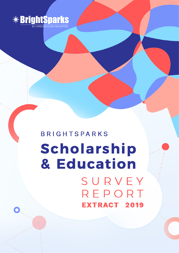

**BRIGHTSPARKS** Scholarship & Education SURVEY REPORT **EXTRACT 2019**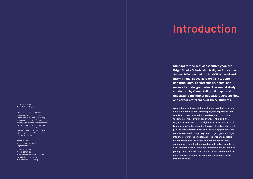#### Copyright © 2019 **CareerBuilder Singapore.**

This copy of the BrightSparks Scholarship & Education Survey Report 2019 is for internal use only. Any unauthorised use of it may violate copyright, trademark, and other laws. For permission to use content from this document or reprints, please contact CareerBuilder Singapore at: sg.enquiry@careerbuilder.com or call (65) 6778 5288.

2 Venture Drive #19-18 Vision Exchange Singapore 608526

T: +65 6778 5288 F: +65 6578 7400 E: sg.brightsparks@careerbuilder.com www.brightsparks.com.sg www.careerbuilder.com.sg

**Running for the 12th consecutive year, the BrightSparks Scholarship & Higher Education Survey 2019 reached out to GCE 'A' Level and International Baccalaureate (IB) students and graduates, polytechnic students, and university undergraduates. The annual study conducted by CareerBuilder Singapore aims to understand the higher education, scholarships, and career preferences of these students.**

As mindsets and expectations change to reflect evolving education and business landscapes, it is imperative that scholarships and education providers stay up to date to remain competitive and relevant. To this end, the BrightSparks Scholarship & Higher Education Survey 2019 is updated with the latest findings and trends each year, to provide tertiary institutions and scholarship providers the comprehensive findings they need to gain greater insight into the preferences of potential students and scholars. By understanding the needs and aspirations of these young minds, scholarship providers will be better able to offer attractive scholarship packages which is desirable to young talent, and to know the most effective channels to communicate essential scholarship information to their target audience.

# **Introduction**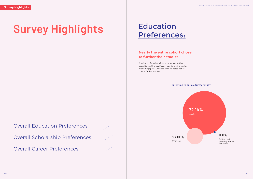A majority of students intend to pursue further education, with a significant majority opting to stay within Singapore. Only less than 1% opted not to pursue further studies.

# **Nearly the entire cohort chose to further their studies**

**72.14%** Locally

27.06% Overseas

0.8%

Neither, not pursuing further education

#### **Intention to pursue further study**

Overall Education Preferences

Overall Scholarship Preferences

Overall Career Preferences

# Education

# **Survey Highlights Education**<br>Preferences: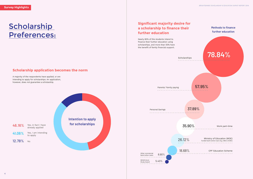A majority of the respondents have applied, or are intending to apply for scholarships. An application, however, does not guarantee a scholarship.

**46.16%** Yes, in fact I have already applied 41.06% Yes, I am intending to apply 12.78% No

# **Scholarship** Preferences:

Nearly 80% of the students intend to finance their further education using scholarships, and more than 50% have the benefit of family financial support.

## **Scholarship application becomes the norm**

# **Significant majority desire for a scholarship to finance their further education**

# **78.84%**



37.89%



CPF Education Scheme

Work part-time

Ministry of Education (MOE) funded bank tuition loan (E.g. DBS & OCBC)

**Intention to apply for scholarships**

### **Methods to finance further education**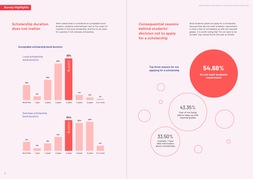

Most students opted not apply for a scholarship because they did not meet academic requirement or have a fear of not keeping up with the required grades. It is worth noting that "Do not want to be bonded" was ranked fourth this year at 24.63%.

#### When asked what is considered an acceptable bond duration, students cited between two to four years for a partial or full local scholarship, and four to six years for a partial or full overseas scholarship.

**Consequential reasons behind students' decision not to apply for a scholarship**





## Overseas scholarship



**Scholarship duration** 

**does not matter**

**Top three reasons for not applying for a scholarship**

 $\bigcap$ 

43.35%

Fear of not being able to keep up with required grades

33.50% Unaware / have little information about scholarships



## **Acceptable scholarship bond duration**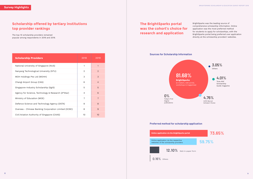The top-10 scholarship providers remained popular among respondents in 2018 and 2019.

BrightSparks was the leading source of comprehensive scholarship information. Online application was the most preferred method for students to apply for scholarships, with the BrightSparks portal being preferred over application directly at the scholarship providers' websites.

# **Scholarship offered by tertiary institutions top provider rankings**

# **The BrightSparks portal was the cohort's choice for research and application**

| <b>Scholarship Providers</b>                         | 2018           | 2019           |
|------------------------------------------------------|----------------|----------------|
| National University of Singapore (NUS)               | 1              | 1              |
| Nanyang Technological University (NTU)               | $\overline{2}$ | $\mathcal{P}$  |
| MOH Holdings Pte Ltd (MOHH)                          | 3              | 3              |
| Changi Airport Group (CAG)                           | 6              | $\overline{4}$ |
| Singapore-Industry Scholarship (SgIS)                | 5              | 5              |
| Agency for Science, Technology & Research (A*Star)   | 4              | 6              |
| Ministry of Education (MOE)                          | $\overline{7}$ | $\overline{7}$ |
| Defence Science and Technology Agency (DSTA)         | 9              | 8              |
| Oversea - Chinese Banking Corporation Limited (OCBC) | 8              | 9              |
| Civil Aviation Authority of Singapore (CAAS)         | 10             | 10             |

**Sources for Scholarship Information**

0% Today's First Degree publications

**81.68% BrightSparks** 



**Preferred method for scholarship application**

**Online application via the BrightSparks portal**

Online application via the respective websites of the scholarship providers



0.16% Others

 $8$ 

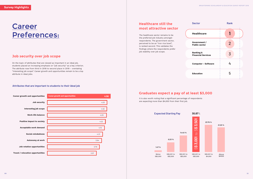## **Job security over job scope**

# **Healthcare still the most attractive sector**

On the topic of attributes that are viewed as important in an ideal job, students placed an increasing emphasis on "job security" as a key criterion. The attribute rose from third in 2018 to second place in 2019 – overtaking "interesting job scope". Career growth and opportunities remain to be a top attribute in ideal jobs.

## **Graduates expect a pay of at least \$3,000**

The healthcare sector remains to be the preferred job industry amongst respondents. The government sector, perceived to be an "iron rice bowl", is ranked second. This validates the findings where the respondents prefer job stability over job scope.

# **Career** Preferences:



#### **Attributes that are important to students to their ideal job**

| <b>Sector</b>                                     | <b>Rank</b>    |  |
|---------------------------------------------------|----------------|--|
| <b>Healthcare</b>                                 |                |  |
| Government /<br><b>Public sector</b>              | $\overline{2}$ |  |
| <b>Banking &amp;</b><br><b>Financial Services</b> | 3              |  |
| <b>Computer - Software</b>                        | 4              |  |
| <b>Education</b>                                  | 5              |  |

It is also worth noting that a significant percentage of respondents are expecting more than \$4,000 from their first job.

#### **Expected Starting Pay**





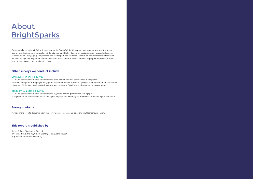# About **BrightSparks**

First established in 2004, BrightSparks, owned by CareerBuilder Singapore, has since grown over the years and is now Singapore's most preferred Scholarship and Higher Education portal amongst students. It seeks to offer Junior College (JC), Polytechnic, and Undergraduate students a wealth of comprehensive information on scholarships and higher education choices to assist them to make the most appropriate decision in their scholarship research and application needs.

#### Employers of choice survey

- • An annual study conducted to understand employer and career preferences in Singapore
- • Primarily targeted at Employed Singaporeans and Permanent Residents (PRs) with an education qualification of Degree / Diploma as well as Fresh and Current University / Diploma graduates and undergraduates

#### JobsCentral Learning survey

- • An annual study conducted to understand higher education preferences in Singapore
- • Targeted at course-seekers above the age of 18 years old who may be interested to pursue higher education

To view more results gathered from the survey, please contact us at sg.enquiry@careerbuilder.com.

CareerBuilder (Singapore) Pte Ltd 2 Venture Drive, #19-18, Vision Exchange, Singapore 608526 http://www.careerbuilder.com.sg

#### **Other surveys we conduct include:**

#### **Survey contacts**

### **This report is published by:**